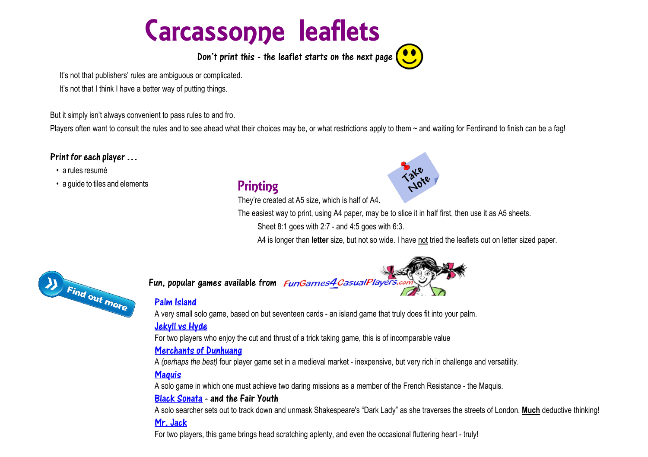# Carcassonne leaflets

Don't print this  $\cdot$  the leaflet starts on the next page  $\left( \bullet \bullet \right)$ 

It's not that publishers' rules are ambiguous or complicated.

It's not that I think I have a better way of putting things.

But it simply isn't always convenient to pass rules to and fro.

Players often want to consult the rules and to see ahead what their choices may be, or what restrictions apply to them  $\sim$  and waiting for Ferdinand to finish can be a fag!

#### Print for each player…

#### • a rules resumé

• a guide to tiles and elements

## **Printing**

They're created at A5 size, which is half of A4.

The easiest way to print, using A4 paper, may be to slice it in half first, then use it as A5 sheets.

Sheet 8:1 goes with 2:7 - and 4:5 goes with 6:3.

A4 is longer than **letter** size, but not so wide. I have not tried the leaflets out on letter sized paper.



Fun, popular games available from *FunGames4CasualPlayers.c* 

#### [Palm Island](https://fungames4casualplayers.com/palm-island)

A very small solo game, based on but seventeen cards - an island game that truly does fit into your palm.

#### [Jekyll vs Hyde](https://fungames4casualplayers.com/jekyll-and-hyde)

For two players who enjoy the cut and thrust of a trick taking game, this is of incomparable value

#### [Merchants of Dunhuang](https://fungames4casualplayers.com/Dunhuang)

A *(perhaps the best)* four player game set in a medieval market - inexpensive, but very rich in challenge and versatility.

#### **Maguis**

A solo game in which one must achieve two daring missions as a member of the French Resistance - the Maquis.

#### [Black Sonata](https://fungames4casualplayers.com/black-sonata) - and the Fair Youth

A solo searcher sets out to track down and unmask Shakespeare's "Dark Lady" as she traverses the streets of London. **Much** deductive thinking!

### [Mr. Jack](https://fungames4casualplayers.com/mrjack)

For two players, this game brings head scratching aplenty, and even the occasional fluttering heart - truly!

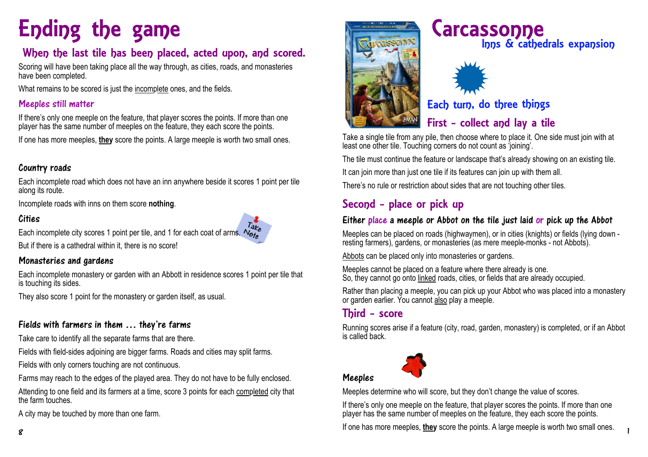# Ending the game Carcassonne

## When the last tile has been placed, acted upon, and scored.

Scoring will have been taking place all the way through, as cities, roads, and monasteries have been completed.

What remains to be scored is just the incomplete ones, and the fields.

#### Meeples still matter

If there's only one meeple on the feature, that player scores the points. If more than one player has the same number of meeples on the feature, they each score the points.

If one has more meeples, **they** score the points. A large meeple is worth two small ones.

#### Country roads

Each incomplete road which does not have an inn anywhere beside it scores 1 point per tile along its route.

Incomplete roads with inns on them score **nothing**.

#### Cities

 $T_{\partial L}$ 

Each incomplete city scores 1 point per tile, and 1 for each coat of arms.  $\mathcal{N}_{\mathbf{a},\mathbf{b}}^{\mathbf{a},\mathbf{c}}$ 

But if there is a cathedral within it, there is no score!

#### Monasteries and gardens

Each incomplete monastery or garden with an Abbott in residence scores 1 point per tile that is touching its sides.

They also score 1 point for the monastery or garden itself, as usual.

#### Fields with farmers in them … they're farms

Take care to identify all the separate farms that are there.

Fields with field-sides adjoining are bigger farms. Roads and cities may split farms.

Fields with only corners touching are not continuous.

Farms may reach to the edges of the played area. They do not have to be fully enclosed.

Attending to one field and its farmers at a time, score 3 points for each completed city that the farm touches.

A city may be touched by more than one farm.



# Inns & cathedrals expansion



## Each turn, do three things

## First - collect and lay a tile

Take a single tile from any pile, then choose where to place it. One side must join with at least one other tile. Touching corners do not count as 'joining'.

The tile must continue the feature or landscape that's already showing on an existing tile.

It can join more than just one tile if its features can join up with them all.

There's no rule or restriction about sides that are not touching other tiles.

## Second - place or pick up

#### Either place a meeple or Abbot on the tile just laid or pick up the Abbot

Meeples can be placed on roads (highwaymen), or in cities (knights) or fields (lying down resting farmers), gardens, or monasteries (as mere meeple-monks - not Abbots).

Abbots can be placed only into monasteries or gardens.

Meeples cannot be placed on a feature where there already is one. So, they cannot go onto linked roads, cities, or fields that are already occupied.

Rather than placing a meeple, you can pick up your Abbot who was placed into a monastery or garden earlier. You cannot also play a meeple.

## Third - score

Running scores arise if a feature (city, road, garden, monastery) is completed, or if an Abbot is called back.



#### Meeples

Meeples determine who will score, but they don't change the value of scores.

If there's only one meeple on the feature, that player scores the points. If more than one player has the same number of meeples on the feature, they each score the points.

If one has more meeples, **they** score the points. A large meeple is worth two small ones. 8 1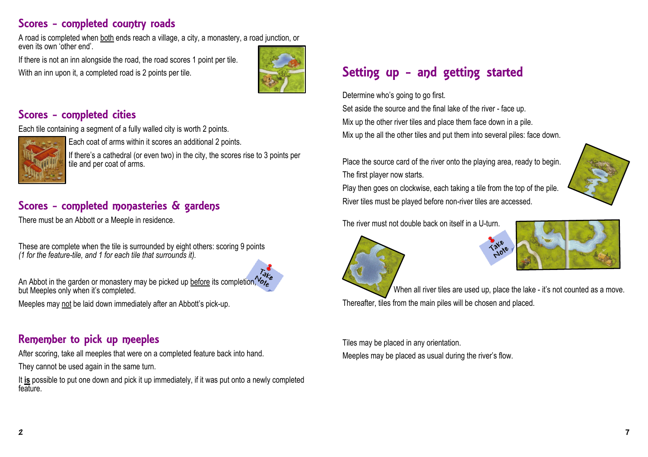## Scores - completed country roads

A road is completed when both ends reach a village, a city, a monastery, a road junction, or even its own 'other end'.

If there is not an inn alongside the road, the road scores 1 point per tile. With an inn upon it, a completed road is 2 points per tile.



### Scores - completed cities

Each tile containing a segment of a fully walled city is worth 2 points.



Each coat of arms within it scores an additional 2 points.

If there's a cathedral (or even two) in the city, the scores rise to 3 points per tile and per coat of arms.

## Scores - completed monasteries & gardens

There must be an Abbott or a Meeple in residence.

These are complete when the tile is surrounded by eight others: scoring 9 points *(1 for the feature-tile, and 1 for each tile that surrounds it).*



An Abbot in the garden or monastery may be picked up before its completion,  $\mathcal{C}_{\mathcal{C}_{\mathcal{C}}}$ but Meeples only when it's completed.

Meeples may not be laid down immediately after an Abbott's pick-up.

## Remember to pick up meeples

After scoring, take all meeples that were on a completed feature back into hand.

They cannot be used again in the same turn.

It **is** possible to put one down and pick it up immediately, if it was put onto a newly completed feature.

# Setting up - and getting started

Determine who's going to go first.

Set aside the source and the final lake of the river - face up. Mix up the other river tiles and place them face down in a pile. Mix up the all the other tiles and put them into several piles: face down

Place the source card of the river onto the playing area, ready to begin. The first player now starts.

Play then goes on clockwise, each taking a tile from the top of the pile. River tiles must be played before non-river tiles are accessed.

The river must not double back on itself in a U-turn.





When all river tiles are used up, place the lake - it's not counted as a move. Thereafter, tiles from the main piles will be chosen and placed.

Tiles may be placed in any orientation. Meeples may be placed as usual during the river's flow.

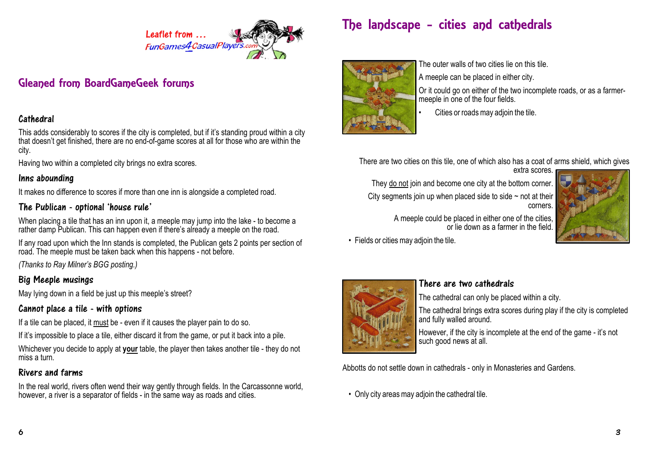

## Gleaned from BoardGameGeek forums

#### Cathedral

This adds considerably to scores if the city is completed, but if it's standing proud within a city that doesn't get finished, there are no end-of-game scores at all for those who are within the city.

Having two within a completed city brings no extra scores.

#### Inns abounding

It makes no difference to scores if more than one inn is alongside a completed road.

#### The Publican - optional 'house rule'

When placing a tile that has an inn upon it, a meeple may jump into the lake - to become a rather damp Publican. This can happen even if there's already a meeple on the road.

If any road upon which the Inn stands is completed, the Publican gets 2 points per section of road. The meeple must be taken back when this happens - not before.

*(Thanks to Ray Milner's BGG posting.)*

#### Big Meeple musings

May Iving down in a field be just up this meeple's street?

#### Cannot place a tile - with options

If a tile can be placed, it must be - even if it causes the player pain to do so.

If it's impossible to place a tile, either discard it from the game, or put it back into a pile.

Whichever you decide to apply at **your** table, the player then takes another tile - they do not miss a turn.

#### Rivers and farms

In the real world, rivers often wend their way gently through fields. In the Carcassonne world, however, a river is a separator of fields - in the same way as roads and cities.

# The landscape - cities and cathedrals



The outer walls of two cities lie on this tile.

A meeple can be placed in either city.

Or it could go on either of the two incomplete roads, or as a farmermeeple in one of the four fields.

• Cities or roads may adjoin the tile.

There are two cities on this tile, one of which also has a coat of arms shield, which gives



• Fields or cities may adjoin the tile.



#### There are two cathedrals

The cathedral can only be placed within a city.

The cathedral brings extra scores during play if the city is completed and fully walled around.

However, if the city is incomplete at the end of the game - it's not such good news at all.

Abbotts do not settle down in cathedrals - only in Monasteries and Gardens.

• Only city areas may adjoin the cathedral tile.